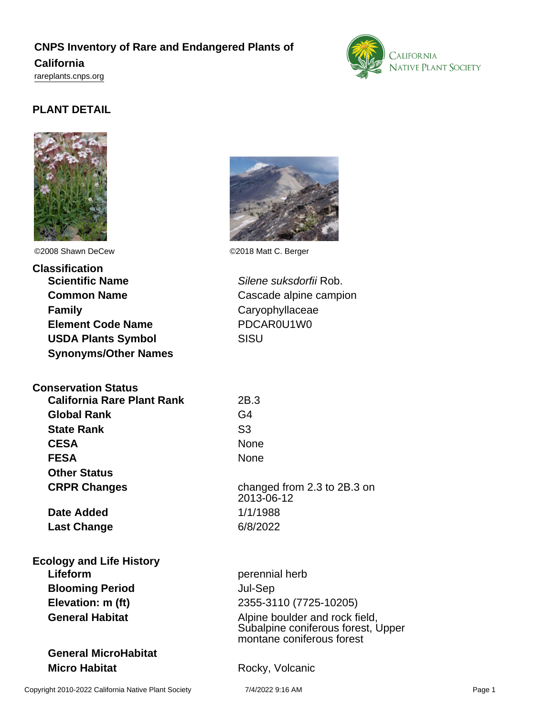# **CNPS Inventory of Rare and Endangered Plants of**

### **California**

<rareplants.cnps.org>

# **PLANT DETAIL**



©2008 Shawn DeCew ©2018 Matt C. Berger

**Classification Scientific Name** Silene suksdorfii Rob. **Common Name** Cascade alpine campion **Family** Caryophyllaceae **Element Code Name** PDCAR0U1W0 **USDA Plants Symbol** SISU **Synonyms/Other Names**

# **Conservation Status**

| <b>California Rare Plant Rank</b> | 2B.3             |
|-----------------------------------|------------------|
| <b>Global Rank</b>                | G4               |
| <b>State Rank</b>                 | S <sub>3</sub>   |
| <b>CESA</b>                       | None             |
| <b>FESA</b>                       | None             |
| <b>Other Status</b>               |                  |
| <b>CRPR Changes</b>               | chang<br>$2013-$ |

**Date Added** 1/1/1988 **Last Change** 6/8/2022

# **Ecology and Life History Lifeform perennial herb Blooming Period** Jul-Sep

# **General MicroHabitat Micro Habitat Rocky**, Volcanic



**CESA** None changed from 2.3 to 2B.3 on 2013-06-12

**Elevation: m (ft)** 2355-3110 (7725-10205) **General Habitat Alpine boulder and rock field,** Subalpine coniferous forest, Upper montane coniferous forest



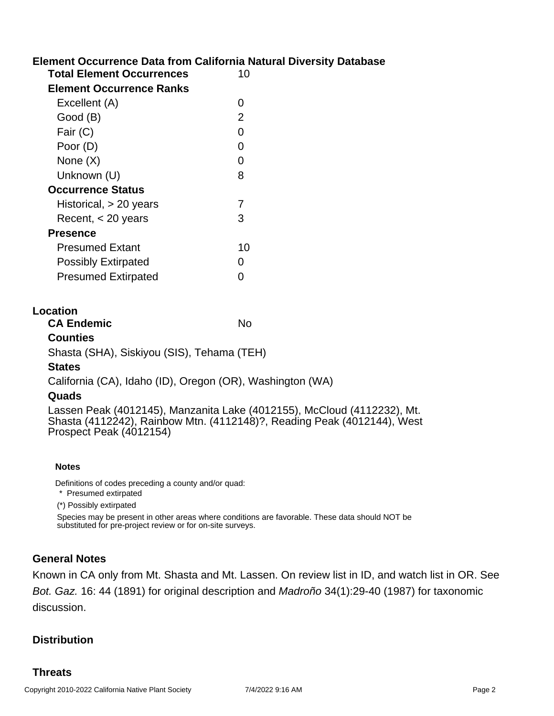# **Element Occurrence Data from California Natural Diversity Database**

| <b>Total Element Occurrences</b> | 10 |
|----------------------------------|----|
| <b>Element Occurrence Ranks</b>  |    |
| Excellent (A)                    | O  |
| Good (B)                         | 2  |
| Fair (C)                         | 0  |
| Poor (D)                         | O  |
| None $(X)$                       | 0  |
| Unknown (U)                      | 8  |
| <b>Occurrence Status</b>         |    |
| Historical, $> 20$ years         | 7  |
| Recent, < 20 years               | 3  |
| <b>Presence</b>                  |    |
| Presumed Extant                  | 10 |
| <b>Possibly Extirpated</b>       | O  |
| <b>Presumed Extirpated</b>       |    |

#### **Location**

**CA Endemic** No

#### **Counties**

Shasta (SHA), Siskiyou (SIS), Tehama (TEH)

#### **States**

California (CA), Idaho (ID), Oregon (OR), Washington (WA)

#### **Quads**

Lassen Peak (4012145), Manzanita Lake (4012155), McCloud (4112232), Mt. Shasta (4112242), Rainbow Mtn. (4112148)?, Reading Peak (4012144), West Prospect Peak (4012154)

#### **Notes**

Definitions of codes preceding a county and/or quad:

\* Presumed extirpated

(\*) Possibly extirpated

Species may be present in other areas where conditions are favorable. These data should NOT be substituted for pre-project review or for on-site surveys.

#### **General Notes**

Known in CA only from Mt. Shasta and Mt. Lassen. On review list in ID, and watch list in OR. See Bot. Gaz. 16: 44 (1891) for original description and Madroño 34(1):29-40 (1987) for taxonomic discussion.

#### **Distribution**

#### **Threats**